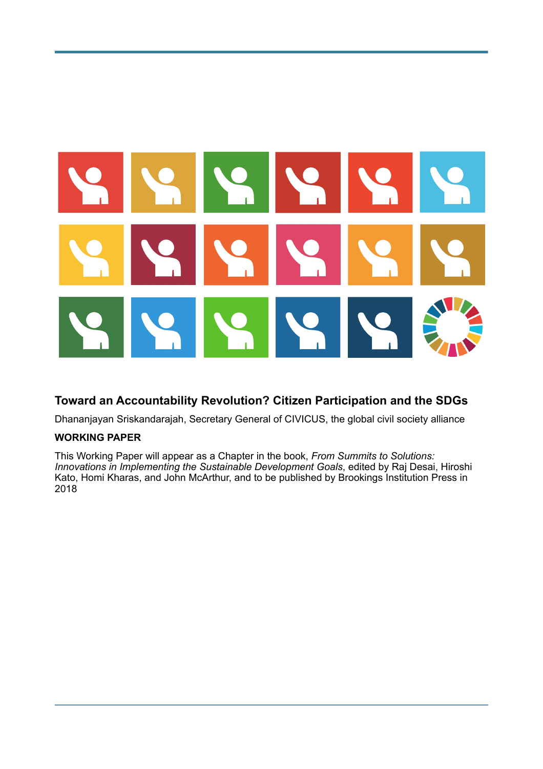

Dhananjayan Sriskandarajah, Secretary General of CIVICUS, the global civil society alliance

# **WORKING PAPER**

This Working Paper will appear as a Chapter in the book, *From Summits to Solutions: Innovations in Implementing the Sustainable Development Goals*, edited by Raj Desai, Hiroshi Kato, Homi Kharas, and John McArthur, and to be published by Brookings Institution Press in 2018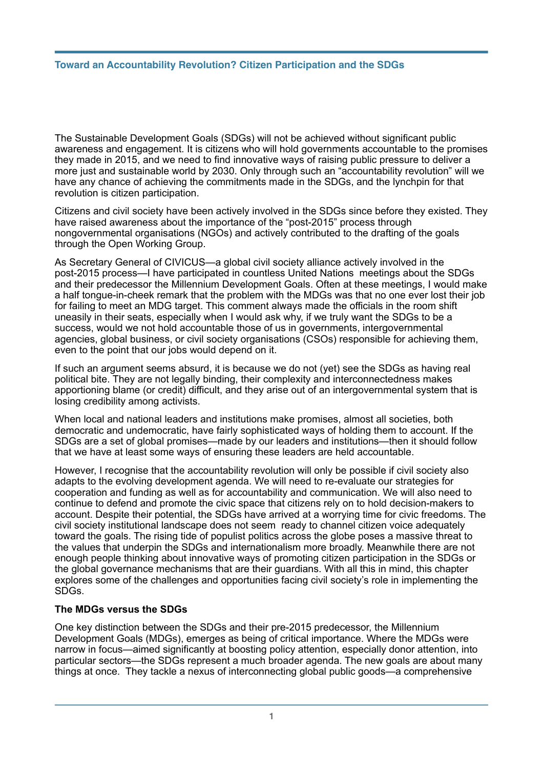The Sustainable Development Goals (SDGs) will not be achieved without significant public awareness and engagement. It is citizens who will hold governments accountable to the promises they made in 2015, and we need to find innovative ways of raising public pressure to deliver a more just and sustainable world by 2030. Only through such an "accountability revolution" will we have any chance of achieving the commitments made in the SDGs, and the lynchpin for that revolution is citizen participation.

Citizens and civil society have been actively involved in the SDGs since before they existed. They have raised awareness about the importance of the "post-2015" process through nongovernmental organisations (NGOs) and actively contributed to the drafting of the goals through the Open Working Group.

As Secretary General of CIVICUS—a global civil society alliance actively involved in the post-2015 process—I have participated in countless United Nations meetings about the SDGs and their predecessor the Millennium Development Goals. Often at these meetings, I would make a half tongue-in-cheek remark that the problem with the MDGs was that no one ever lost their job for failing to meet an MDG target. This comment always made the officials in the room shift uneasily in their seats, especially when I would ask why, if we truly want the SDGs to be a success, would we not hold accountable those of us in governments, intergovernmental agencies, global business, or civil society organisations (CSOs) responsible for achieving them, even to the point that our jobs would depend on it.

If such an argument seems absurd, it is because we do not (yet) see the SDGs as having real political bite. They are not legally binding, their complexity and interconnectedness makes apportioning blame (or credit) difficult, and they arise out of an intergovernmental system that is losing credibility among activists.

When local and national leaders and institutions make promises, almost all societies, both democratic and undemocratic, have fairly sophisticated ways of holding them to account. If the SDGs are a set of global promises—made by our leaders and institutions—then it should follow that we have at least some ways of ensuring these leaders are held accountable.

However, I recognise that the accountability revolution will only be possible if civil society also adapts to the evolving development agenda. We will need to re-evaluate our strategies for cooperation and funding as well as for accountability and communication. We will also need to continue to defend and promote the civic space that citizens rely on to hold decision-makers to account. Despite their potential, the SDGs have arrived at a worrying time for civic freedoms. The civil society institutional landscape does not seem ready to channel citizen voice adequately toward the goals. The rising tide of populist politics across the globe poses a massive threat to the values that underpin the SDGs and internationalism more broadly. Meanwhile there are not enough people thinking about innovative ways of promoting citizen participation in the SDGs or the global governance mechanisms that are their guardians. With all this in mind, this chapter explores some of the challenges and opportunities facing civil society's role in implementing the SDGs.

# **The MDGs versus the SDGs**

One key distinction between the SDGs and their pre-2015 predecessor, the Millennium Development Goals (MDGs), emerges as being of critical importance. Where the MDGs were narrow in focus—aimed significantly at boosting policy attention, especially donor attention, into particular sectors—the SDGs represent a much broader agenda. The new goals are about many things at once. They tackle a nexus of interconnecting global public goods—a comprehensive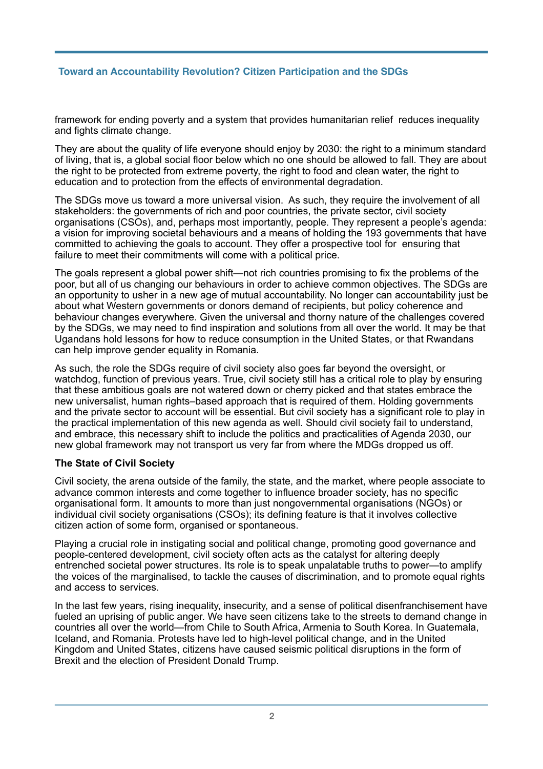framework for ending poverty and a system that provides humanitarian relief reduces inequality and fights climate change.

They are about the quality of life everyone should enjoy by 2030: the right to a minimum standard of living, that is, a global social floor below which no one should be allowed to fall. They are about the right to be protected from extreme poverty, the right to food and clean water, the right to education and to protection from the effects of environmental degradation.

The SDGs move us toward a more universal vision. As such, they require the involvement of all stakeholders: the governments of rich and poor countries, the private sector, civil society organisations (CSOs), and, perhaps most importantly, people. They represent a people's agenda: a vision for improving societal behaviours and a means of holding the 193 governments that have committed to achieving the goals to account. They offer a prospective tool for ensuring that failure to meet their commitments will come with a political price.

The goals represent a global power shift—not rich countries promising to fix the problems of the poor, but all of us changing our behaviours in order to achieve common objectives. The SDGs are an opportunity to usher in a new age of mutual accountability. No longer can accountability just be about what Western governments or donors demand of recipients, but policy coherence and behaviour changes everywhere. Given the universal and thorny nature of the challenges covered by the SDGs, we may need to find inspiration and solutions from all over the world. It may be that Ugandans hold lessons for how to reduce consumption in the United States, or that Rwandans can help improve gender equality in Romania.

As such, the role the SDGs require of civil society also goes far beyond the oversight, or watchdog, function of previous years. True, civil society still has a critical role to play by ensuring that these ambitious goals are not watered down or cherry picked and that states embrace the new universalist, human rights–based approach that is required of them. Holding governments and the private sector to account will be essential. But civil society has a significant role to play in the practical implementation of this new agenda as well. Should civil society fail to understand, and embrace, this necessary shift to include the politics and practicalities of Agenda 2030, our new global framework may not transport us very far from where the MDGs dropped us off.

### **The State of Civil Society**

Civil society, the arena outside of the family, the state, and the market, where people associate to advance common interests and come together to influence broader society, has no specific organisational form. It amounts to more than just nongovernmental organisations (NGOs) or individual civil society organisations (CSOs); its defining feature is that it involves collective citizen action of some form, organised or spontaneous.

Playing a crucial role in instigating social and political change, promoting good governance and people-centered development, civil society often acts as the catalyst for altering deeply entrenched societal power structures. Its role is to speak unpalatable truths to power—to amplify the voices of the marginalised, to tackle the causes of discrimination, and to promote equal rights and access to services.

In the last few years, rising inequality, insecurity, and a sense of political disenfranchisement have fueled an uprising of public anger. We have seen citizens take to the streets to demand change in countries all over the world—from Chile to South Africa, Armenia to South Korea. In Guatemala, Iceland, and Romania. Protests have led to high-level political change, and in the United Kingdom and United States, citizens have caused seismic political disruptions in the form of Brexit and the election of President Donald Trump.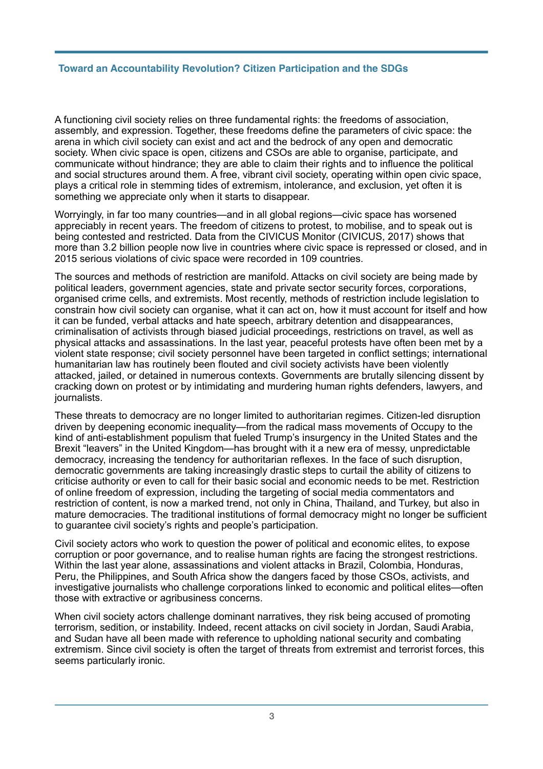A functioning civil society relies on three fundamental rights: the freedoms of association, assembly, and expression. Together, these freedoms define the parameters of civic space: the arena in which civil society can exist and act and the bedrock of any open and democratic society. When civic space is open, citizens and CSOs are able to organise, participate, and communicate without hindrance; they are able to claim their rights and to influence the political and social structures around them. A free, vibrant civil society, operating within open civic space, plays a critical role in stemming tides of extremism, intolerance, and exclusion, yet often it is something we appreciate only when it starts to disappear.

Worryingly, in far too many countries—and in all global regions—civic space has worsened appreciably in recent years. The freedom of citizens to protest, to mobilise, and to speak out is being contested and restricted. Data from the CIVICUS Monitor (CIVICUS, 2017) shows that more than 3.2 billion people now live in countries where civic space is repressed or closed, and in 2015 serious violations of civic space were recorded in 109 countries.

The sources and methods of restriction are manifold. Attacks on civil society are being made by political leaders, government agencies, state and private sector security forces, corporations, organised crime cells, and extremists. Most recently, methods of restriction include legislation to constrain how civil society can organise, what it can act on, how it must account for itself and how it can be funded, verbal attacks and hate speech, arbitrary detention and disappearances, criminalisation of activists through biased judicial proceedings, restrictions on travel, as well as physical attacks and assassinations. In the last year, peaceful protests have often been met by a violent state response; civil society personnel have been targeted in conflict settings; international humanitarian law has routinely been flouted and civil society activists have been violently attacked, jailed, or detained in numerous contexts. Governments are brutally silencing dissent by cracking down on protest or by intimidating and murdering human rights defenders, lawyers, and journalists.

These threats to democracy are no longer limited to authoritarian regimes. Citizen-led disruption driven by deepening economic inequality—from the radical mass movements of Occupy to the kind of anti-establishment populism that fueled Trump's insurgency in the United States and the Brexit "leavers" in the United Kingdom—has brought with it a new era of messy, unpredictable democracy, increasing the tendency for authoritarian reflexes. In the face of such disruption, democratic governments are taking increasingly drastic steps to curtail the ability of citizens to criticise authority or even to call for their basic social and economic needs to be met. Restriction of online freedom of expression, including the targeting of social media commentators and restriction of content, is now a marked trend, not only in China, Thailand, and Turkey, but also in mature democracies. The traditional institutions of formal democracy might no longer be sufficient to guarantee civil society's rights and people's participation.

Civil society actors who work to question the power of political and economic elites, to expose corruption or poor governance, and to realise human rights are facing the strongest restrictions. Within the last year alone, assassinations and violent attacks in Brazil, Colombia, Honduras, Peru, the Philippines, and South Africa show the dangers faced by those CSOs, activists, and investigative journalists who challenge corporations linked to economic and political elites—often those with extractive or agribusiness concerns.

When civil society actors challenge dominant narratives, they risk being accused of promoting terrorism, sedition, or instability. Indeed, recent attacks on civil society in Jordan, Saudi Arabia, and Sudan have all been made with reference to upholding national security and combating extremism. Since civil society is often the target of threats from extremist and terrorist forces, this seems particularly ironic.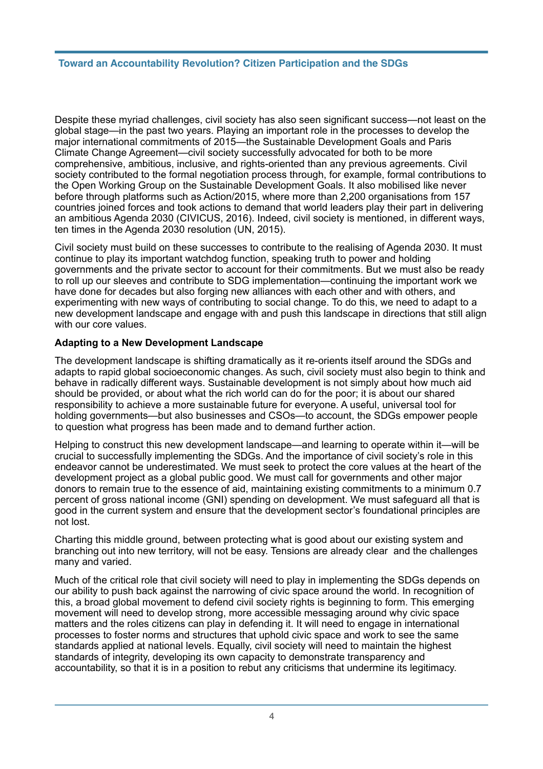Despite these myriad challenges, civil society has also seen significant success—not least on the global stage—in the past two years. Playing an important role in the processes to develop the major international commitments of 2015—the Sustainable Development Goals and Paris Climate Change Agreement—civil society successfully advocated for both to be more comprehensive, ambitious, inclusive, and rights-oriented than any previous agreements. Civil society contributed to the formal negotiation process through, for example, formal contributions to the Open Working Group on the Sustainable Development Goals. It also mobilised like never before through platforms such as Action/2015, where more than 2,200 organisations from 157 countries joined forces and took actions to demand that world leaders play their part in delivering an ambitious Agenda 2030 (CIVICUS, 2016). Indeed, civil society is mentioned, in different ways, ten times in the Agenda 2030 resolution (UN, 2015).

Civil society must build on these successes to contribute to the realising of Agenda 2030. It must continue to play its important watchdog function, speaking truth to power and holding governments and the private sector to account for their commitments. But we must also be ready to roll up our sleeves and contribute to SDG implementation—continuing the important work we have done for decades but also forging new alliances with each other and with others, and experimenting with new ways of contributing to social change. To do this, we need to adapt to a new development landscape and engage with and push this landscape in directions that still align with our core values.

### **Adapting to a New Development Landscape**

The development landscape is shifting dramatically as it re-orients itself around the SDGs and adapts to rapid global socioeconomic changes. As such, civil society must also begin to think and behave in radically different ways. Sustainable development is not simply about how much aid should be provided, or about what the rich world can do for the poor; it is about our shared responsibility to achieve a more sustainable future for everyone. A useful, universal tool for holding governments—but also businesses and CSOs—to account, the SDGs empower people to question what progress has been made and to demand further action.

Helping to construct this new development landscape—and learning to operate within it—will be crucial to successfully implementing the SDGs. And the importance of civil society's role in this endeavor cannot be underestimated. We must seek to protect the core values at the heart of the development project as a global public good. We must call for governments and other major donors to remain true to the essence of aid, maintaining existing commitments to a minimum 0.7 percent of gross national income (GNI) spending on development. We must safeguard all that is good in the current system and ensure that the development sector's foundational principles are not lost.

Charting this middle ground, between protecting what is good about our existing system and branching out into new territory, will not be easy. Tensions are already clear and the challenges many and varied.

Much of the critical role that civil society will need to play in implementing the SDGs depends on our ability to push back against the narrowing of civic space around the world. In recognition of this, a broad global movement to defend civil society rights is beginning to form. This emerging movement will need to develop strong, more accessible messaging around why civic space matters and the roles citizens can play in defending it. It will need to engage in international processes to foster norms and structures that uphold civic space and work to see the same standards applied at national levels. Equally, civil society will need to maintain the highest standards of integrity, developing its own capacity to demonstrate transparency and accountability, so that it is in a position to rebut any criticisms that undermine its legitimacy.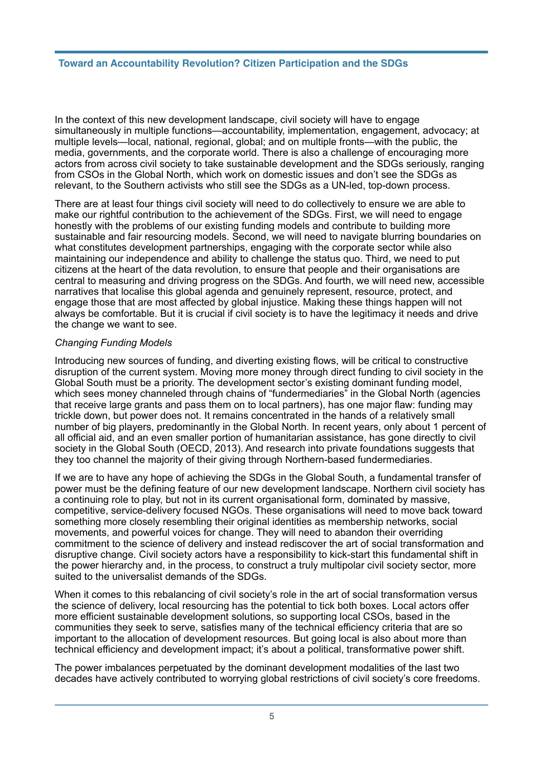In the context of this new development landscape, civil society will have to engage simultaneously in multiple functions—accountability, implementation, engagement, advocacy; at multiple levels—local, national, regional, global; and on multiple fronts—with the public, the media, governments, and the corporate world. There is also a challenge of encouraging more actors from across civil society to take sustainable development and the SDGs seriously, ranging from CSOs in the Global North, which work on domestic issues and don't see the SDGs as relevant, to the Southern activists who still see the SDGs as a UN-led, top-down process.

There are at least four things civil society will need to do collectively to ensure we are able to make our rightful contribution to the achievement of the SDGs. First, we will need to engage honestly with the problems of our existing funding models and contribute to building more sustainable and fair resourcing models. Second, we will need to navigate blurring boundaries on what constitutes development partnerships, engaging with the corporate sector while also maintaining our independence and ability to challenge the status quo. Third, we need to put citizens at the heart of the data revolution, to ensure that people and their organisations are central to measuring and driving progress on the SDGs. And fourth, we will need new, accessible narratives that localise this global agenda and genuinely represent, resource, protect, and engage those that are most affected by global injustice. Making these things happen will not always be comfortable. But it is crucial if civil society is to have the legitimacy it needs and drive the change we want to see.

### *Changing Funding Models*

Introducing new sources of funding, and diverting existing flows, will be critical to constructive disruption of the current system. Moving more money through direct funding to civil society in the Global South must be a priority. The development sector's existing dominant funding model, which sees money channeled through chains of "fundermediaries" in the Global North (agencies that receive large grants and pass them on to local partners), has one major flaw: funding may trickle down, but power does not. It remains concentrated in the hands of a relatively small number of big players, predominantly in the Global North. In recent years, only about 1 percent of all official aid, and an even smaller portion of humanitarian assistance, has gone directly to civil society in the Global South (OECD, 2013). And research into private foundations suggests that they too channel the majority of their giving through Northern-based fundermediaries.

If we are to have any hope of achieving the SDGs in the Global South, a fundamental transfer of power must be the defining feature of our new development landscape. Northern civil society has a continuing role to play, but not in its current organisational form, dominated by massive, competitive, service-delivery focused NGOs. These organisations will need to move back toward something more closely resembling their original identities as membership networks, social movements, and powerful voices for change. They will need to abandon their overriding commitment to the science of delivery and instead rediscover the art of social transformation and disruptive change. Civil society actors have a responsibility to kick-start this fundamental shift in the power hierarchy and, in the process, to construct a truly multipolar civil society sector, more suited to the universalist demands of the SDGs.

When it comes to this rebalancing of civil society's role in the art of social transformation versus the science of delivery, local resourcing has the potential to tick both boxes. Local actors offer more efficient sustainable development solutions, so supporting local CSOs, based in the communities they seek to serve, satisfies many of the technical efficiency criteria that are so important to the allocation of development resources. But going local is also about more than technical efficiency and development impact; it's about a political, transformative power shift.

The power imbalances perpetuated by the dominant development modalities of the last two decades have actively contributed to worrying global restrictions of civil society's core freedoms.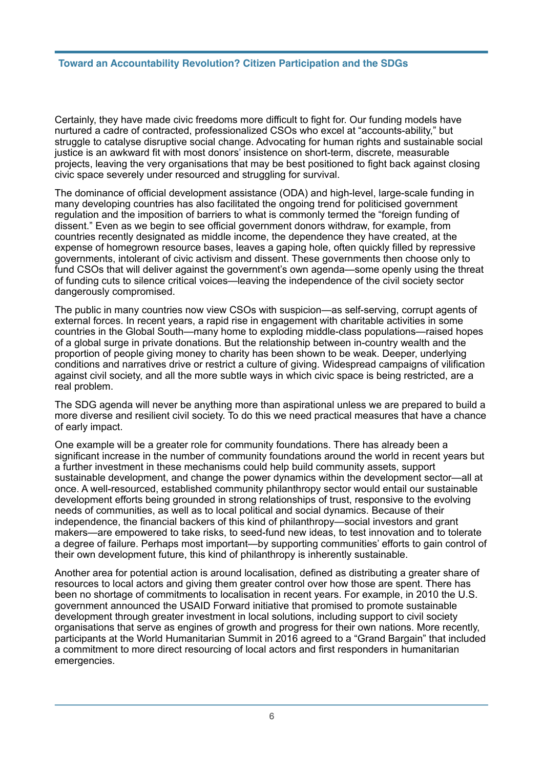Certainly, they have made civic freedoms more difficult to fight for. Our funding models have nurtured a cadre of contracted, professionalized CSOs who excel at "accounts-ability," but struggle to catalyse disruptive social change. Advocating for human rights and sustainable social justice is an awkward fit with most donors' insistence on short-term, discrete, measurable projects, leaving the very organisations that may be best positioned to fight back against closing civic space severely under resourced and struggling for survival.

The dominance of official development assistance (ODA) and high-level, large-scale funding in many developing countries has also facilitated the ongoing trend for politicised government regulation and the imposition of barriers to what is commonly termed the "foreign funding of dissent." Even as we begin to see official government donors withdraw, for example, from countries recently designated as middle income, the dependence they have created, at the expense of homegrown resource bases, leaves a gaping hole, often quickly filled by repressive governments, intolerant of civic activism and dissent. These governments then choose only to fund CSOs that will deliver against the government's own agenda—some openly using the threat of funding cuts to silence critical voices—leaving the independence of the civil society sector dangerously compromised.

The public in many countries now view CSOs with suspicion—as self-serving, corrupt agents of external forces. In recent years, a rapid rise in engagement with charitable activities in some countries in the Global South—many home to exploding middle-class populations—raised hopes of a global surge in private donations. But the relationship between in-country wealth and the proportion of people giving money to charity has been shown to be weak. Deeper, underlying conditions and narratives drive or restrict a culture of giving. Widespread campaigns of vilification against civil society, and all the more subtle ways in which civic space is being restricted, are a real problem.

The SDG agenda will never be anything more than aspirational unless we are prepared to build a more diverse and resilient civil society. To do this we need practical measures that have a chance of early impact.

One example will be a greater role for community foundations. There has already been a significant increase in the number of community foundations around the world in recent years but a further investment in these mechanisms could help build community assets, support sustainable development, and change the power dynamics within the development sector—all at once. A well-resourced, established community philanthropy sector would entail our sustainable development efforts being grounded in strong relationships of trust, responsive to the evolving needs of communities, as well as to local political and social dynamics. Because of their independence, the financial backers of this kind of philanthropy—social investors and grant makers—are empowered to take risks, to seed-fund new ideas, to test innovation and to tolerate a degree of failure. Perhaps most important—by supporting communities' efforts to gain control of their own development future, this kind of philanthropy is inherently sustainable.

Another area for potential action is around localisation, defined as distributing a greater share of resources to local actors and giving them greater control over how those are spent. There has been no shortage of commitments to localisation in recent years. For example, in 2010 the U.S. government announced the USAID Forward initiative that promised to promote sustainable development through greater investment in local solutions, including support to civil society organisations that serve as engines of growth and progress for their own nations. More recently, participants at the World Humanitarian Summit in 2016 agreed to a "Grand Bargain" that included a commitment to more direct resourcing of local actors and first responders in humanitarian emergencies.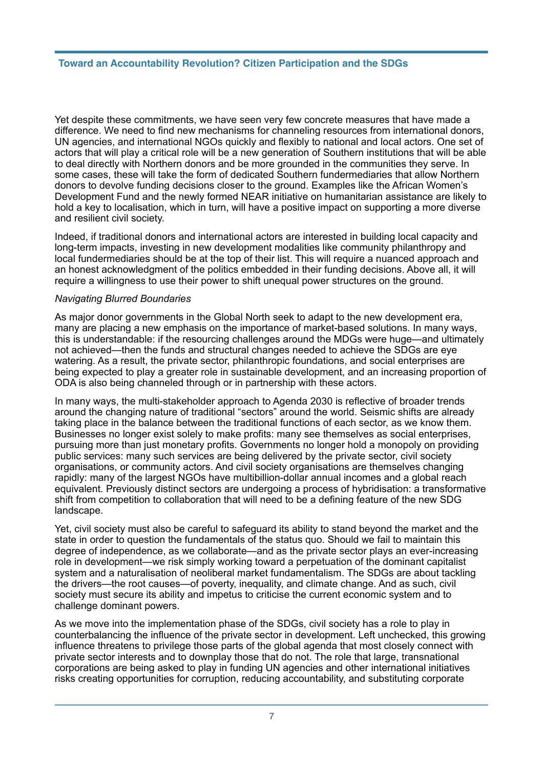Yet despite these commitments, we have seen very few concrete measures that have made a difference. We need to find new mechanisms for channeling resources from international donors, UN agencies, and international NGOs quickly and flexibly to national and local actors. One set of actors that will play a critical role will be a new generation of Southern institutions that will be able to deal directly with Northern donors and be more grounded in the communities they serve. In some cases, these will take the form of dedicated Southern fundermediaries that allow Northern donors to devolve funding decisions closer to the ground. Examples like the African Women's Development Fund and the newly formed NEAR initiative on humanitarian assistance are likely to hold a key to localisation, which in turn, will have a positive impact on supporting a more diverse and resilient civil society.

Indeed, if traditional donors and international actors are interested in building local capacity and long-term impacts, investing in new development modalities like community philanthropy and local fundermediaries should be at the top of their list. This will require a nuanced approach and an honest acknowledgment of the politics embedded in their funding decisions. Above all, it will require a willingness to use their power to shift unequal power structures on the ground.

### *Navigating Blurred Boundaries*

As major donor governments in the Global North seek to adapt to the new development era, many are placing a new emphasis on the importance of market-based solutions. In many ways, this is understandable: if the resourcing challenges around the MDGs were huge—and ultimately not achieved—then the funds and structural changes needed to achieve the SDGs are eye watering. As a result, the private sector, philanthropic foundations, and social enterprises are being expected to play a greater role in sustainable development, and an increasing proportion of ODA is also being channeled through or in partnership with these actors.

In many ways, the multi-stakeholder approach to Agenda 2030 is reflective of broader trends around the changing nature of traditional "sectors" around the world. Seismic shifts are already taking place in the balance between the traditional functions of each sector, as we know them. Businesses no longer exist solely to make profits: many see themselves as social enterprises, pursuing more than just monetary profits. Governments no longer hold a monopoly on providing public services: many such services are being delivered by the private sector, civil society organisations, or community actors. And civil society organisations are themselves changing rapidly: many of the largest NGOs have multibillion-dollar annual incomes and a global reach equivalent. Previously distinct sectors are undergoing a process of hybridisation: a transformative shift from competition to collaboration that will need to be a defining feature of the new SDG landscape.

Yet, civil society must also be careful to safeguard its ability to stand beyond the market and the state in order to question the fundamentals of the status quo. Should we fail to maintain this degree of independence, as we collaborate—and as the private sector plays an ever-increasing role in development—we risk simply working toward a perpetuation of the dominant capitalist system and a naturalisation of neoliberal market fundamentalism. The SDGs are about tackling the drivers—the root causes—of poverty, inequality, and climate change. And as such, civil society must secure its ability and impetus to criticise the current economic system and to challenge dominant powers.

As we move into the implementation phase of the SDGs, civil society has a role to play in counterbalancing the influence of the private sector in development. Left unchecked, this growing influence threatens to privilege those parts of the global agenda that most closely connect with private sector interests and to downplay those that do not. The role that large, transnational corporations are being asked to play in funding UN agencies and other international initiatives risks creating opportunities for corruption, reducing accountability, and substituting corporate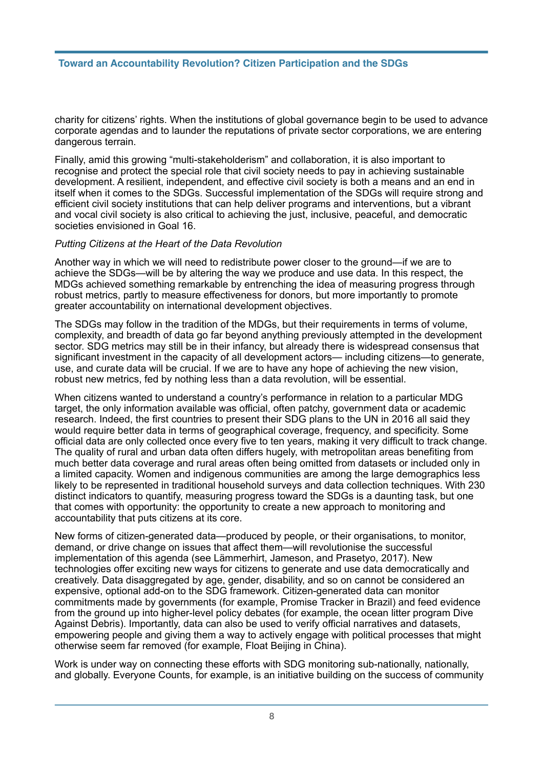charity for citizens' rights. When the institutions of global governance begin to be used to advance corporate agendas and to launder the reputations of private sector corporations, we are entering dangerous terrain.

Finally, amid this growing "multi-stakeholderism" and collaboration, it is also important to recognise and protect the special role that civil society needs to pay in achieving sustainable development. A resilient, independent, and effective civil society is both a means and an end in itself when it comes to the SDGs. Successful implementation of the SDGs will require strong and efficient civil society institutions that can help deliver programs and interventions, but a vibrant and vocal civil society is also critical to achieving the just, inclusive, peaceful, and democratic societies envisioned in Goal 16.

### *Putting Citizens at the Heart of the Data Revolution*

Another way in which we will need to redistribute power closer to the ground—if we are to achieve the SDGs—will be by altering the way we produce and use data. In this respect, the MDGs achieved something remarkable by entrenching the idea of measuring progress through robust metrics, partly to measure effectiveness for donors, but more importantly to promote greater accountability on international development objectives.

The SDGs may follow in the tradition of the MDGs, but their requirements in terms of volume, complexity, and breadth of data go far beyond anything previously attempted in the development sector. SDG metrics may still be in their infancy, but already there is widespread consensus that significant investment in the capacity of all development actors— including citizens—to generate, use, and curate data will be crucial. If we are to have any hope of achieving the new vision, robust new metrics, fed by nothing less than a data revolution, will be essential.

When citizens wanted to understand a country's performance in relation to a particular MDG target, the only information available was official, often patchy, government data or academic research. Indeed, the first countries to present their SDG plans to the UN in 2016 all said they would require better data in terms of geographical coverage, frequency, and specificity. Some official data are only collected once every five to ten years, making it very difficult to track change. The quality of rural and urban data often differs hugely, with metropolitan areas benefiting from much better data coverage and rural areas often being omitted from datasets or included only in a limited capacity. Women and indigenous communities are among the large demographics less likely to be represented in traditional household surveys and data collection techniques. With 230 distinct indicators to quantify, measuring progress toward the SDGs is a daunting task, but one that comes with opportunity: the opportunity to create a new approach to monitoring and accountability that puts citizens at its core.

New forms of citizen-generated data—produced by people, or their organisations, to monitor, demand, or drive change on issues that affect them—will revolutionise the successful implementation of this agenda (see Lämmerhirt, Jameson, and Prasetyo, 2017). New technologies offer exciting new ways for citizens to generate and use data democratically and creatively. Data disaggregated by age, gender, disability, and so on cannot be considered an expensive, optional add-on to the SDG framework. Citizen-generated data can monitor commitments made by governments (for example, Promise Tracker in Brazil) and feed evidence from the ground up into higher-level policy debates (for example, the ocean litter program Dive Against Debris). Importantly, data can also be used to verify official narratives and datasets, empowering people and giving them a way to actively engage with political processes that might otherwise seem far removed (for example, Float Beijing in China).

Work is under way on connecting these efforts with SDG monitoring sub-nationally, nationally, and globally. Everyone Counts, for example, is an initiative building on the success of community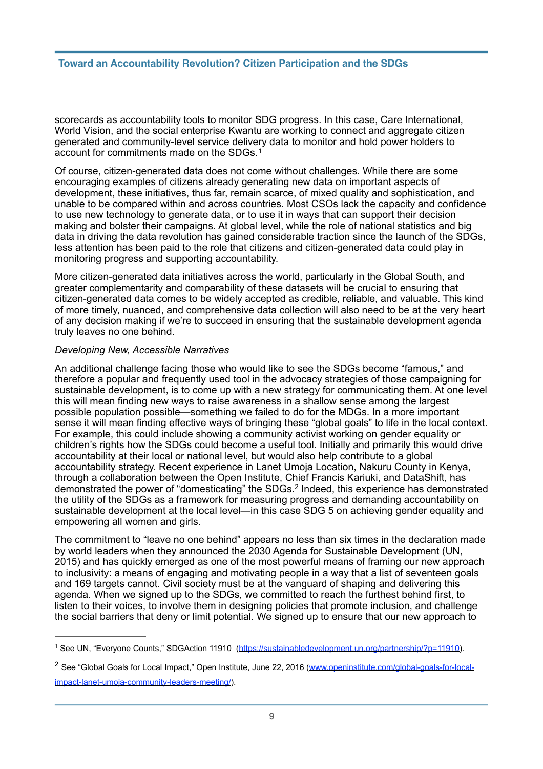scorecards as accountability tools to monitor SDG progress. In this case, Care International, World Vision, and the social enterprise Kwantu are working to connect and aggregate citizen generated and community-level service delivery data to monitor and hold power holders to account for commitments made on the SDGs.[1](#page-9-0)

<span id="page-9-2"></span>Of course, citizen-generated data does not come without challenges. While there are some encouraging examples of citizens already generating new data on important aspects of development, these initiatives, thus far, remain scarce, of mixed quality and sophistication, and unable to be compared within and across countries. Most CSOs lack the capacity and confidence to use new technology to generate data, or to use it in ways that can support their decision making and bolster their campaigns. At global level, while the role of national statistics and big data in driving the data revolution has gained considerable traction since the launch of the SDGs, less attention has been paid to the role that citizens and citizen-generated data could play in monitoring progress and supporting accountability.

More citizen-generated data initiatives across the world, particularly in the Global South, and greater complementarity and comparability of these datasets will be crucial to ensuring that citizen-generated data comes to be widely accepted as credible, reliable, and valuable. This kind of more timely, nuanced, and comprehensive data collection will also need to be at the very heart of any decision making if we're to succeed in ensuring that the sustainable development agenda truly leaves no one behind.

### *Developing New, Accessible Narratives*

An additional challenge facing those who would like to see the SDGs become "famous," and therefore a popular and frequently used tool in the advocacy strategies of those campaigning for sustainable development, is to come up with a new strategy for communicating them. At one level this will mean finding new ways to raise awareness in a shallow sense among the largest possible population possible—something we failed to do for the MDGs. In a more important sense it will mean finding effective ways of bringing these "global goals" to life in the local context. For example, this could include showing a community activist working on gender equality or children's rights how the SDGs could become a useful tool. Initially and primarily this would drive accountability at their local or national level, but would also help contribute to a global accountability strategy. Recent experience in Lanet Umoja Location, Nakuru County in Kenya, through a collaboration between the Open Institute, Chief Francis Kariuki, and DataShift, has demonstratedthe power of "domesticating" the SDGs.<sup>[2](#page-9-1)</sup> Indeed, this experience has demonstrated the utility of the SDGs as a framework for measuring progress and demanding accountability on sustainable development at the local level—in this case SDG 5 on achieving gender equality and empowering all women and girls.

<span id="page-9-3"></span>The commitment to "leave no one behind" appears no less than six times in the declaration made by world leaders when they announced the 2030 Agenda for Sustainable Development (UN, 2015) and has quickly emerged as one of the most powerful means of framing our new approach to inclusivity: a means of engaging and motivating people in a way that a list of seventeen goals and 169 targets cannot. Civil society must be at the vanguard of shaping and delivering this agenda. When we signed up to the SDGs, we committed to reach the furthest behind first, to listen to their voices, to involve them in designing policies that promote inclusion, and challenge the social barriers that deny or limit potential. We signed up to ensure that our new approach to

<span id="page-9-0"></span><sup>&</sup>lt;sup>1</sup> See UN, "Everyone Counts," SDGAction 11910 ([https://sustainabledevelopment.un.org/partnership/?p=11910\)](https://sustainabledevelopment.un.org/partnership/?p=11910).

<span id="page-9-1"></span><sup>&</sup>lt;sup>2</sup> [See "Global Goals for Local Impact," Open Institute, June 22, 2016 \(www.openinstitute.com/global-goals-for-local](http://www.openinstitute.com/global-goals-for-local-impact-lanet-umoja-community-leaders-meeting/) impact-lanet-umoja-community-leaders-meeting/).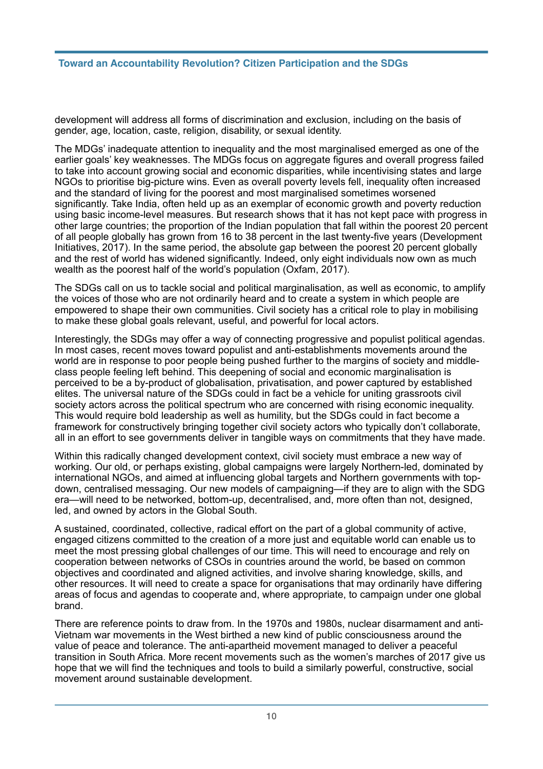development will address all forms of discrimination and exclusion, including on the basis of gender, age, location, caste, religion, disability, or sexual identity.

The MDGs' inadequate attention to inequality and the most marginalised emerged as one of the earlier goals' key weaknesses. The MDGs focus on aggregate figures and overall progress failed to take into account growing social and economic disparities, while incentivising states and large NGOs to prioritise big-picture wins. Even as overall poverty levels fell, inequality often increased and the standard of living for the poorest and most marginalised sometimes worsened significantly. Take India, often held up as an exemplar of economic growth and poverty reduction using basic income-level measures. But research shows that it has not kept pace with progress in other large countries; the proportion of the Indian population that fall within the poorest 20 percent of all people globally has grown from 16 to 38 percent in the last twenty-five years (Development Initiatives, 2017). In the same period, the absolute gap between the poorest 20 percent globally and the rest of world has widened significantly. Indeed, only eight individuals now own as much wealth as the poorest half of the world's population (Oxfam, 2017).

The SDGs call on us to tackle social and political marginalisation, as well as economic, to amplify the voices of those who are not ordinarily heard and to create a system in which people are empowered to shape their own communities. Civil society has a critical role to play in mobilising to make these global goals relevant, useful, and powerful for local actors.

Interestingly, the SDGs may offer a way of connecting progressive and populist political agendas. In most cases, recent moves toward populist and anti-establishments movements around the world are in response to poor people being pushed further to the margins of society and middleclass people feeling left behind. This deepening of social and economic marginalisation is perceived to be a by-product of globalisation, privatisation, and power captured by established elites. The universal nature of the SDGs could in fact be a vehicle for uniting grassroots civil society actors across the political spectrum who are concerned with rising economic inequality. This would require bold leadership as well as humility, but the SDGs could in fact become a framework for constructively bringing together civil society actors who typically don't collaborate, all in an effort to see governments deliver in tangible ways on commitments that they have made.

Within this radically changed development context, civil society must embrace a new way of working. Our old, or perhaps existing, global campaigns were largely Northern-led, dominated by international NGOs, and aimed at influencing global targets and Northern governments with topdown, centralised messaging. Our new models of campaigning—if they are to align with the SDG era—will need to be networked, bottom-up, decentralised, and, more often than not, designed, led, and owned by actors in the Global South.

A sustained, coordinated, collective, radical effort on the part of a global community of active, engaged citizens committed to the creation of a more just and equitable world can enable us to meet the most pressing global challenges of our time. This will need to encourage and rely on cooperation between networks of CSOs in countries around the world, be based on common objectives and coordinated and aligned activities, and involve sharing knowledge, skills, and other resources. It will need to create a space for organisations that may ordinarily have differing areas of focus and agendas to cooperate and, where appropriate, to campaign under one global brand.

There are reference points to draw from. In the 1970s and 1980s, nuclear disarmament and anti-Vietnam war movements in the West birthed a new kind of public consciousness around the value of peace and tolerance. The anti-apartheid movement managed to deliver a peaceful transition in South Africa. More recent movements such as the women's marches of 2017 give us hope that we will find the techniques and tools to build a similarly powerful, constructive, social movement around sustainable development.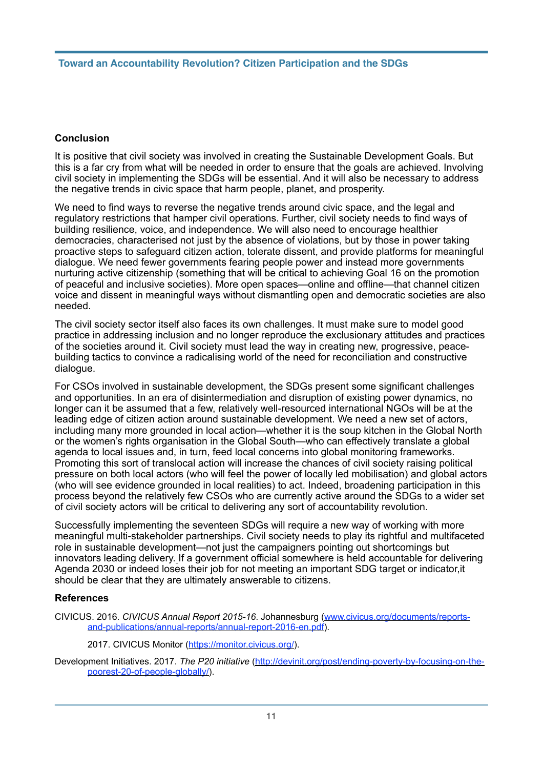# **Conclusion**

It is positive that civil society was involved in creating the Sustainable Development Goals. But this is a far cry from what will be needed in order to ensure that the goals are achieved. Involving civil society in implementing the SDGs will be essential. And it will also be necessary to address the negative trends in civic space that harm people, planet, and prosperity.

We need to find ways to reverse the negative trends around civic space, and the legal and regulatory restrictions that hamper civil operations. Further, civil society needs to find ways of building resilience, voice, and independence. We will also need to encourage healthier democracies, characterised not just by the absence of violations, but by those in power taking proactive steps to safeguard citizen action, tolerate dissent, and provide platforms for meaningful dialogue. We need fewer governments fearing people power and instead more governments nurturing active citizenship (something that will be critical to achieving Goal 16 on the promotion of peaceful and inclusive societies). More open spaces—online and offline—that channel citizen voice and dissent in meaningful ways without dismantling open and democratic societies are also needed.

The civil society sector itself also faces its own challenges. It must make sure to model good practice in addressing inclusion and no longer reproduce the exclusionary attitudes and practices of the societies around it. Civil society must lead the way in creating new, progressive, peacebuilding tactics to convince a radicalising world of the need for reconciliation and constructive dialogue.

For CSOs involved in sustainable development, the SDGs present some significant challenges and opportunities. In an era of disintermediation and disruption of existing power dynamics, no longer can it be assumed that a few, relatively well-resourced international NGOs will be at the leading edge of citizen action around sustainable development. We need a new set of actors, including many more grounded in local action—whether it is the soup kitchen in the Global North or the women's rights organisation in the Global South—who can effectively translate a global agenda to local issues and, in turn, feed local concerns into global monitoring frameworks. Promoting this sort of translocal action will increase the chances of civil society raising political pressure on both local actors (who will feel the power of locally led mobilisation) and global actors (who will see evidence grounded in local realities) to act. Indeed, broadening participation in this process beyond the relatively few CSOs who are currently active around the SDGs to a wider set of civil society actors will be critical to delivering any sort of accountability revolution.

Successfully implementing the seventeen SDGs will require a new way of working with more meaningful multi-stakeholder partnerships. Civil society needs to play its rightful and multifaceted role in sustainable development—not just the campaigners pointing out shortcomings but innovators leading delivery. If a government official somewhere is held accountable for delivering Agenda 2030 or indeed loses their job for not meeting an important SDG target or indicator,it should be clear that they are ultimately answerable to citizens.

# **References**

CIVICUS. 2016. *CIVICUS Annual Report 2015-16*. Johannesburg (www.civicus.org/documents/reports[and-publications/annual-reports/annual-report-2016-en.pdf\).](http://www.civicus.org/documents/reports-and-publications/annual-reports/annual-report-2016-en.pdf) 

2017. CIVICUS Monitor (<https://monitor.civicus.org/>).

Development Initiatives. 2017. *The P20 initiative* [\(http://devinit.org/post/ending-poverty-by-focusing-on-the](http://devinit.org/post/ending-poverty-by-focusing-on-the-poorest-20-of-people-globally/)poorest-20-of-people-globally/).